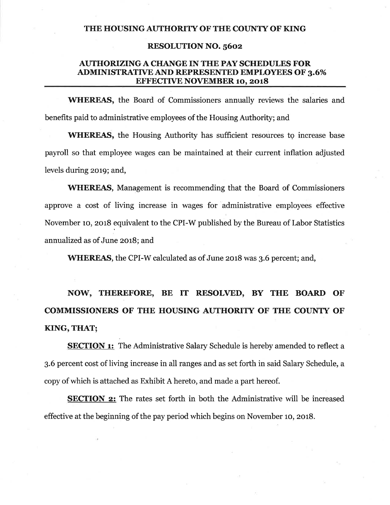### THE HOUSING AUTHORITY OF THE COUNTY OF KING

#### **RESOLUTION NO. 5602**

## **AUTHORIZING A CHANGE IN THE PAY SCHEDULES FOR ADMINISTRATIVE AND REPRESENTED EMPLOYEES OF 3.6% EFFECTIVE NOVEMBER 10, 2018**

WHEREAS, the Board of Commissioners annually reviews the salaries and benefits paid to administrative employees of the Housing Authority; and

**WHEREAS**, the Housing Authority has sufficient resources to increase base payroll so that employee wages can be maintained at their current inflation adjusted levels during 2019; and,

**WHEREAS,** Management is recommending that the Board of Commissioners approve a cost of living increase in wages for administrative employees effective November 10, 2018 equivalent to the CPI-W published by the Bureau of Labor Statistics annualized as of June 2018; and

WHEREAS, the CPI-W calculated as of June 2018 was 3.6 percent; and,

NOW, THEREFORE, BE IT RESOLVED, BY THE BOARD OF **COMMISSIONERS OF THE HOUSING AUTHORITY OF THE COUNTY OF** KING, THAT;

**SECTION 1:** The Administrative Salary Schedule is hereby amended to reflect a 3.6 percent cost of living increase in all ranges and as set forth in said Salary Schedule, a copy of which is attached as Exhibit A hereto, and made a part hereof.

**SECTION 2:** The rates set forth in both the Administrative will be increased effective at the beginning of the pay period which begins on November 10, 2018.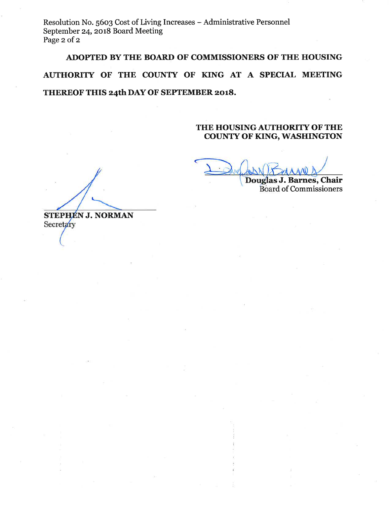Resolution No. 5603 Cost of Living Increases - Administrative Personnel September 24, 2018 Board Meeting Page 2 of 2

# ADOPTED BY THE BOARD OF COMMISSIONERS OF THE HOUSING AUTHORITY OF THE COUNTY OF KING AT A SPECIAL MEETING

THEREOF THIS 24th DAY OF SEPTEMBER 2018.

## THE HOUSING AUTHORITY OF THE **COUNTY OF KING, WASHINGTON**

Douglas J. Barnes, Chair **Board of Commissioners** 

**STEPHEN J. NORMAN** Secretary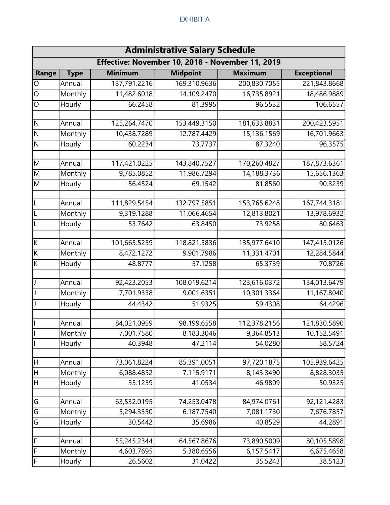### EXHIBIT A

| <b>Administrative Salary Schedule</b><br>Effective: November 10, 2018 - November 11, 2019 |         |              |              |              |              |  |  |  |  |
|-------------------------------------------------------------------------------------------|---------|--------------|--------------|--------------|--------------|--|--|--|--|
|                                                                                           |         |              |              |              |              |  |  |  |  |
| $\overline{O}$                                                                            | Annual  | 137,791.2216 | 169,310.9636 | 200,830.7055 | 221,843.8668 |  |  |  |  |
| $\overline{\circ}$                                                                        | Monthly | 11,482.6018  | 14,109.2470  | 16,735.8921  | 18,486.9889  |  |  |  |  |
| $\circ$                                                                                   | Hourly  | 66.2458      | 81.3995      | 96.5532      | 106.6557     |  |  |  |  |
|                                                                                           |         |              |              |              |              |  |  |  |  |
| Z                                                                                         | Annual  | 125,264.7470 | 153,449.3150 | 181,633.8831 | 200,423.5951 |  |  |  |  |
| Z                                                                                         | Monthly | 10,438.7289  | 12,787.4429  | 15,136.1569  | 16,701.9663  |  |  |  |  |
| N                                                                                         | Hourly  | 60.2234      | 73.7737      | 87.3240      | 96.3575      |  |  |  |  |
| M                                                                                         | Annual  | 117,421.0225 | 143,840.7527 | 170,260.4827 | 187,873.6361 |  |  |  |  |
| $\overline{M}$                                                                            | Monthly | 9,785.0852   | 11,986.7294  | 14,188.3736  | 15,656.1363  |  |  |  |  |
| $\overline{M}$                                                                            | Hourly  | 56.4524      | 69.1542      | 81.8560      | 90.3239      |  |  |  |  |
| $\overline{L}$                                                                            | Annual  | 111,829.5454 | 132,797.5851 | 153,765.6248 | 167,744.3181 |  |  |  |  |
| $\mathsf{L}$                                                                              | Monthly | 9,319.1288   | 11,066.4654  | 12,813.8021  | 13,978.6932  |  |  |  |  |
| $\mathsf{L}$                                                                              | Hourly  | 53.7642      | 63.8450      | 73.9258      | 80.6463      |  |  |  |  |
|                                                                                           |         |              |              |              |              |  |  |  |  |
| $\overline{\mathsf{K}}$                                                                   | Annual  | 101,665.5259 | 118,821.5836 | 135,977.6410 | 147,415.0126 |  |  |  |  |
| $\overline{K}$                                                                            | Monthly | 8,472.1272   | 9,901.7986   | 11,331.4701  | 12,284.5844  |  |  |  |  |
| $\overline{K}$                                                                            | Hourly  | 48.8777      | 57.1258      | 65.3739      | 70.8726      |  |  |  |  |
| J                                                                                         | Annual  | 92,423.2053  | 108,019.6214 | 123,616.0372 | 134,013.6479 |  |  |  |  |
| J                                                                                         | Monthly | 7,701.9338   | 9,001.6351   | 10,301.3364  | 11,167.8040  |  |  |  |  |
| J                                                                                         | Hourly  | 44.4342      | 51.9325      | 59.4308      | 64.4296      |  |  |  |  |
|                                                                                           | Annual  | 84,021.0959  | 98,199.6558  | 112,378.2156 | 121,830.5890 |  |  |  |  |
| П                                                                                         | Monthly | 7,001.7580   | 8,183.3046   | 9,364.8513   | 10,152.5491  |  |  |  |  |
| I                                                                                         | Hourly  | 40.3948      | 47.2114      | 54.0280      | 58.5724      |  |  |  |  |
| H                                                                                         | Annual  | 73,061.8224  | 85,391.0051  | 97,720.1875  | 105,939.6425 |  |  |  |  |
| $\boldsymbol{\mathsf{H}}$                                                                 | Monthly | 6,088.4852   | 7,115.9171   | 8,143.3490   | 8,828.3035   |  |  |  |  |
| $\sf H$                                                                                   | Hourly  | 35.1259      | 41.0534      | 46.9809      | 50.9325      |  |  |  |  |
|                                                                                           |         |              |              |              |              |  |  |  |  |
| G                                                                                         | Annual  | 63,532.0195  | 74,253.0478  | 84,974.0761  | 92,121.4283  |  |  |  |  |
| $\overline{\mathsf{G}}$                                                                   | Monthly | 5,294.3350   | 6,187.7540   | 7,081.1730   | 7,676.7857   |  |  |  |  |
| $\overline{\mathsf{G}}$                                                                   | Hourly  | 30.5442      | 35.6986      | 40.8529      | 44.2891      |  |  |  |  |
| $\overline{r}$                                                                            | Annual  | 55,245.2344  | 64,567.8676  | 73,890.5009  | 80,105.5898  |  |  |  |  |
| F                                                                                         | Monthly | 4,603.7695   | 5,380.6556   | 6,157.5417   | 6,675.4658   |  |  |  |  |
| F                                                                                         | Hourly  | 26.5602      | 31.0422      | 35.5243      | 38.5123      |  |  |  |  |